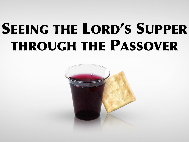# SEEING THE LORD'S SUPPER THROUGH THE PASSOVER

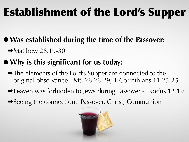### Establishment of the Lord's Supper

- **•Was established during the time of the Passover:** 
	- $\rightarrow$  Matthew 26.19-30
- **•Why is this significant for us today:** 
	- ➡The elements of the Lord's Supper are connected to the original observance - Mt. 26.26-29; 1 Corinthians 11.23-25
	- ■Leaven was forbidden to Jews during Passover Exodus 12.19
	- ➡Seeing the connection: Passover, Christ, Communion

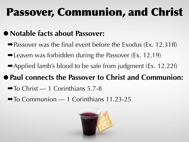### Passover, Communion, and Christ

#### • Notable facts about Passover:

- $\rightarrow$  Passover was the final event before the Exodus (Ex. 12.31ff)
- ➡Leaven was forbidden during the Passover (Ex. 12.19)
- $\rightarrow$  Applied lamb's blood to be safe from judgment (Ex. 12.22f)

#### **•Paul connects the Passover to Christ and Communion:**

- $\rightarrow$  To Christ 1 Corinthians 5.7-8
- ➡To Communion 1 Corinthians 11.23-25

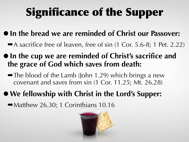# Significance of the Supper

- **•In the bread we are reminded of Christ our Passover:** 
	- $\rightarrow$  A sacrifice free of leaven, free of sin (1 Cor. 5.6-8; 1 Pet. 2.22)
- **In the cup we are reminded of Christ's sacrifice and the grace of God which saves from death:** 
	- $\rightarrow$  The blood of the Lamb (John 1.29) which brings a new covenant and saves from sin (1 Cor. 11.25; Mt. 26.28)
- **•We fellowship with Christ in the Lord's Supper:**

 $\rightarrow$  Matthew 26.30; 1 Corinthians 10.16